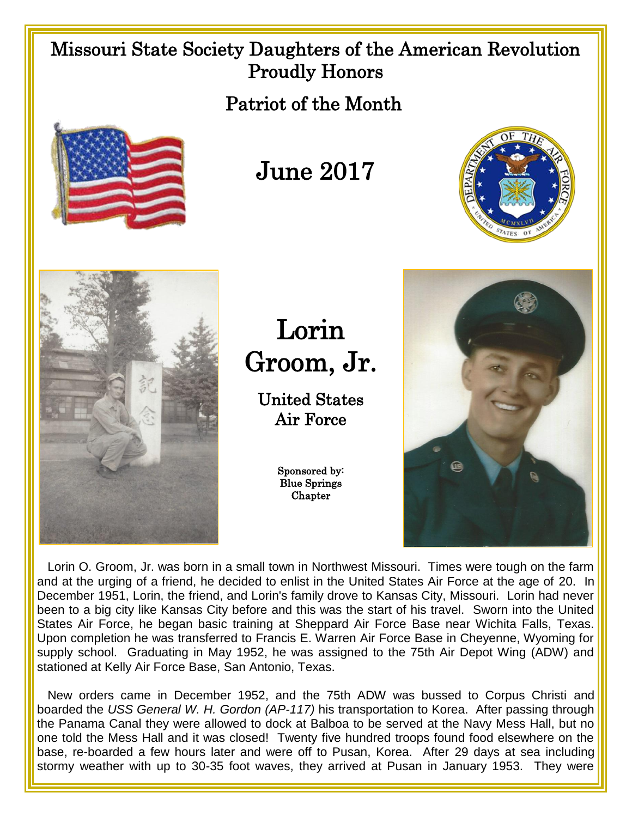## Missouri State Society Daughters of the American Revolution Proudly Honors

Patriot of the Month



## June 2017





Lorin Groom, Jr.

United States Air Force

> Sponsored by: Blue Springs **Chapter**



 Lorin O. Groom, Jr. was born in a small town in Northwest Missouri. Times were tough on the farm and at the urging of a friend, he decided to enlist in the United States Air Force at the age of 20. In December 1951, Lorin, the friend, and Lorin's family drove to Kansas City, Missouri. Lorin had never been to a big city like Kansas City before and this was the start of his travel. Sworn into the United States Air Force, he began basic training at Sheppard Air Force Base near Wichita Falls, Texas. Upon completion he was transferred to Francis E. Warren Air Force Base in Cheyenne, Wyoming for supply school. Graduating in May 1952, he was assigned to the 75th Air Depot Wing (ADW) and stationed at Kelly Air Force Base, San Antonio, Texas.

 New orders came in December 1952, and the 75th ADW was bussed to Corpus Christi and boarded the *USS General W. H. Gordon (AP-117)* his transportation to Korea. After passing through the Panama Canal they were allowed to dock at Balboa to be served at the Navy Mess Hall, but no one told the Mess Hall and it was closed! Twenty five hundred troops found food elsewhere on the base, re-boarded a few hours later and were off to Pusan, Korea. After 29 days at sea including stormy weather with up to 30-35 foot waves, they arrived at Pusan in January 1953. They were